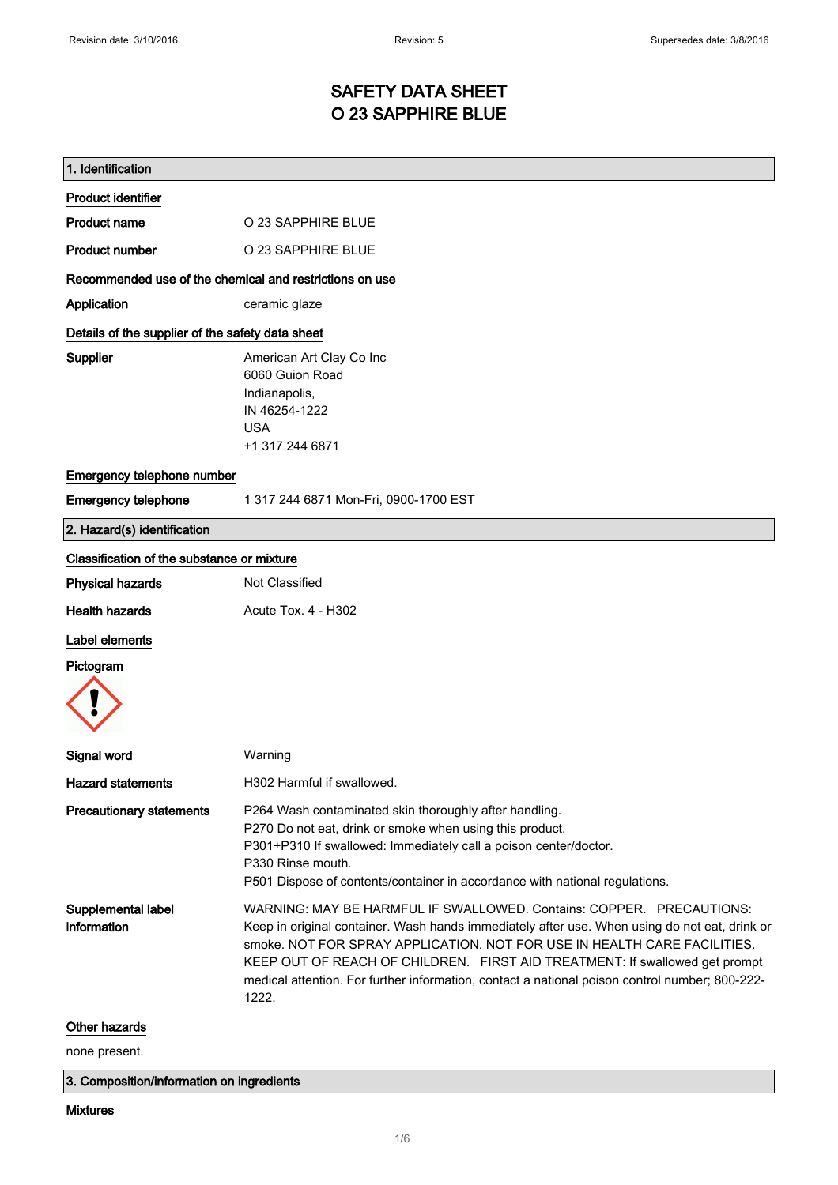## SAFETY DATA SHEET O 23 SAPPHIRE BLUE

| 1. Identification                                       |                                                                                                                                                                                                                                                                                                                                                                                                                                             |  |
|---------------------------------------------------------|---------------------------------------------------------------------------------------------------------------------------------------------------------------------------------------------------------------------------------------------------------------------------------------------------------------------------------------------------------------------------------------------------------------------------------------------|--|
| <b>Product identifier</b>                               |                                                                                                                                                                                                                                                                                                                                                                                                                                             |  |
| <b>Product name</b>                                     | O 23 SAPPHIRE BLUE                                                                                                                                                                                                                                                                                                                                                                                                                          |  |
| <b>Product number</b>                                   | O 23 SAPPHIRE BLUE                                                                                                                                                                                                                                                                                                                                                                                                                          |  |
| Recommended use of the chemical and restrictions on use |                                                                                                                                                                                                                                                                                                                                                                                                                                             |  |
| Application                                             | ceramic glaze                                                                                                                                                                                                                                                                                                                                                                                                                               |  |
| Details of the supplier of the safety data sheet        |                                                                                                                                                                                                                                                                                                                                                                                                                                             |  |
| Supplier                                                | American Art Clay Co Inc<br>6060 Guion Road<br>Indianapolis,<br>IN 46254-1222<br><b>USA</b><br>+1 317 244 6871                                                                                                                                                                                                                                                                                                                              |  |
| Emergency telephone number                              |                                                                                                                                                                                                                                                                                                                                                                                                                                             |  |
| <b>Emergency telephone</b>                              | 1 317 244 6871 Mon-Fri, 0900-1700 EST                                                                                                                                                                                                                                                                                                                                                                                                       |  |
| 2. Hazard(s) identification                             |                                                                                                                                                                                                                                                                                                                                                                                                                                             |  |
| Classification of the substance or mixture              |                                                                                                                                                                                                                                                                                                                                                                                                                                             |  |
| <b>Physical hazards</b>                                 | Not Classified                                                                                                                                                                                                                                                                                                                                                                                                                              |  |
| <b>Health hazards</b>                                   | Acute Tox. 4 - H302                                                                                                                                                                                                                                                                                                                                                                                                                         |  |
| Label elements                                          |                                                                                                                                                                                                                                                                                                                                                                                                                                             |  |
| Pictogram                                               |                                                                                                                                                                                                                                                                                                                                                                                                                                             |  |
| <b>Signal word</b>                                      | Warning                                                                                                                                                                                                                                                                                                                                                                                                                                     |  |
| Hazard statements                                       | H302 Harmful if swallowed.                                                                                                                                                                                                                                                                                                                                                                                                                  |  |
| <b>Precautionary statements</b>                         | P264 Wash contaminated skin thoroughly after handling.<br>P270 Do not eat, drink or smoke when using this product.<br>P301+P310 If swallowed: Immediately call a poison center/doctor.<br>P330 Rinse mouth.<br>P501 Dispose of contents/container in accordance with national regulations.                                                                                                                                                  |  |
| Supplemental label<br>information                       | WARNING: MAY BE HARMFUL IF SWALLOWED, Contains: COPPER. PRECAUTIONS:<br>Keep in original container. Wash hands immediately after use. When using do not eat, drink or<br>smoke. NOT FOR SPRAY APPLICATION. NOT FOR USE IN HEALTH CARE FACILITIES.<br>KEEP OUT OF REACH OF CHILDREN. FIRST AID TREATMENT: If swallowed get prompt<br>medical attention. For further information, contact a national poison control number; 800-222-<br>1222. |  |
| Other hazards                                           |                                                                                                                                                                                                                                                                                                                                                                                                                                             |  |
| none present.                                           |                                                                                                                                                                                                                                                                                                                                                                                                                                             |  |

3. Composition/information on ingredients

#### Mixtures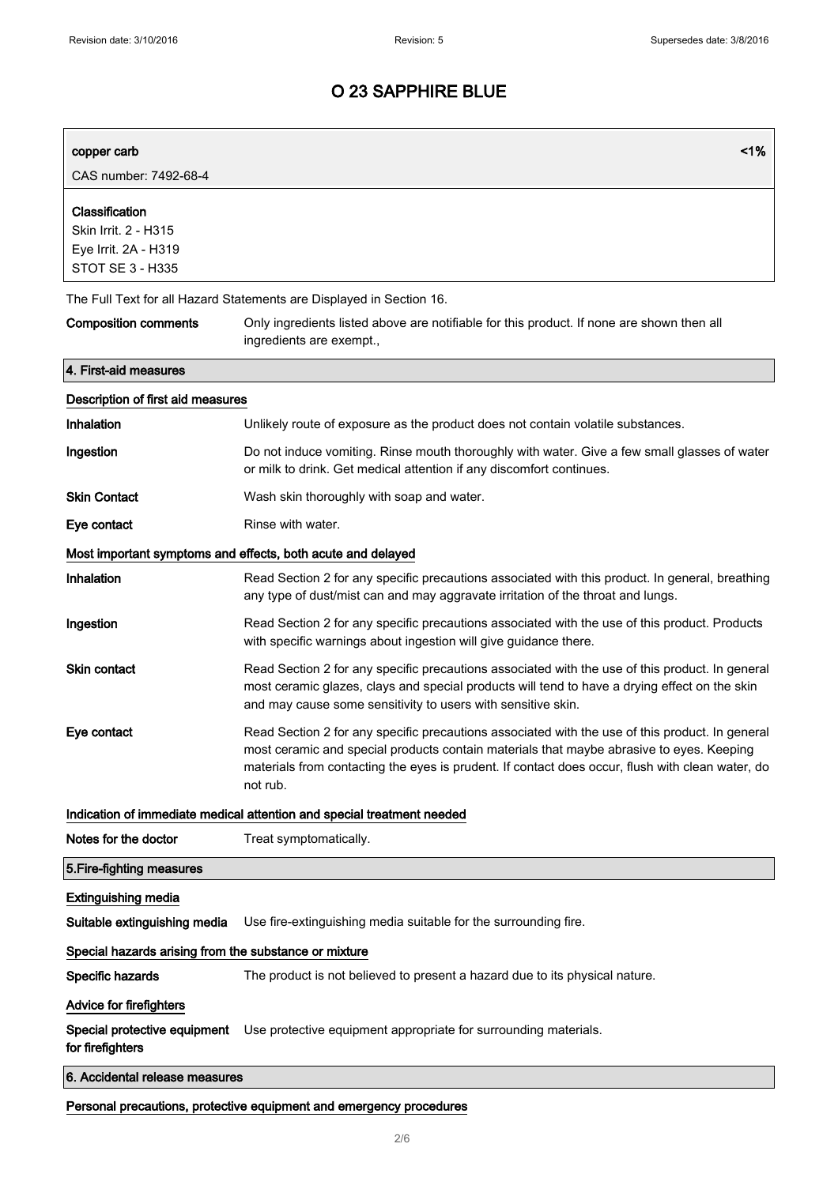| copper carb<br>CAS number: 7492-68-4                                                      | 1%                                                                                                                                                                                                                                                                                                          |  |
|-------------------------------------------------------------------------------------------|-------------------------------------------------------------------------------------------------------------------------------------------------------------------------------------------------------------------------------------------------------------------------------------------------------------|--|
| Classification<br>Skin Irrit. 2 - H315<br>Eye Irrit. 2A - H319<br><b>STOT SE 3 - H335</b> |                                                                                                                                                                                                                                                                                                             |  |
| The Full Text for all Hazard Statements are Displayed in Section 16.                      |                                                                                                                                                                                                                                                                                                             |  |
| <b>Composition comments</b>                                                               | Only ingredients listed above are notifiable for this product. If none are shown then all<br>ingredients are exempt.,                                                                                                                                                                                       |  |
| 4. First-aid measures                                                                     |                                                                                                                                                                                                                                                                                                             |  |
| Description of first aid measures                                                         |                                                                                                                                                                                                                                                                                                             |  |
| Inhalation                                                                                | Unlikely route of exposure as the product does not contain volatile substances.                                                                                                                                                                                                                             |  |
| Ingestion                                                                                 | Do not induce vomiting. Rinse mouth thoroughly with water. Give a few small glasses of water<br>or milk to drink. Get medical attention if any discomfort continues.                                                                                                                                        |  |
| <b>Skin Contact</b>                                                                       | Wash skin thoroughly with soap and water.                                                                                                                                                                                                                                                                   |  |
| Eye contact                                                                               | Rinse with water.                                                                                                                                                                                                                                                                                           |  |
|                                                                                           | Most important symptoms and effects, both acute and delayed                                                                                                                                                                                                                                                 |  |
| Inhalation                                                                                | Read Section 2 for any specific precautions associated with this product. In general, breathing<br>any type of dust/mist can and may aggravate irritation of the throat and lungs.                                                                                                                          |  |
| Ingestion                                                                                 | Read Section 2 for any specific precautions associated with the use of this product. Products<br>with specific warnings about ingestion will give guidance there.                                                                                                                                           |  |
| Skin contact                                                                              | Read Section 2 for any specific precautions associated with the use of this product. In general<br>most ceramic glazes, clays and special products will tend to have a drying effect on the skin<br>and may cause some sensitivity to users with sensitive skin.                                            |  |
| Eye contact                                                                               | Read Section 2 for any specific precautions associated with the use of this product. In general<br>most ceramic and special products contain materials that maybe abrasive to eyes. Keeping<br>materials from contacting the eyes is prudent. If contact does occur, flush with clean water, do<br>not rub. |  |
|                                                                                           | Indication of immediate medical attention and special treatment needed                                                                                                                                                                                                                                      |  |
| Notes for the doctor                                                                      | Treat symptomatically.                                                                                                                                                                                                                                                                                      |  |
| 5. Fire-fighting measures                                                                 |                                                                                                                                                                                                                                                                                                             |  |
| <b>Extinguishing media</b>                                                                |                                                                                                                                                                                                                                                                                                             |  |
| Suitable extinguishing media                                                              | Use fire-extinguishing media suitable for the surrounding fire.                                                                                                                                                                                                                                             |  |
| Special hazards arising from the substance or mixture                                     |                                                                                                                                                                                                                                                                                                             |  |
| Specific hazards                                                                          | The product is not believed to present a hazard due to its physical nature.                                                                                                                                                                                                                                 |  |
| Advice for firefighters                                                                   |                                                                                                                                                                                                                                                                                                             |  |
| Special protective equipment<br>for firefighters                                          | Use protective equipment appropriate for surrounding materials.                                                                                                                                                                                                                                             |  |
| 6. Accidental release measures                                                            |                                                                                                                                                                                                                                                                                                             |  |
| Personal precautions, protective equipment and emergency procedures                       |                                                                                                                                                                                                                                                                                                             |  |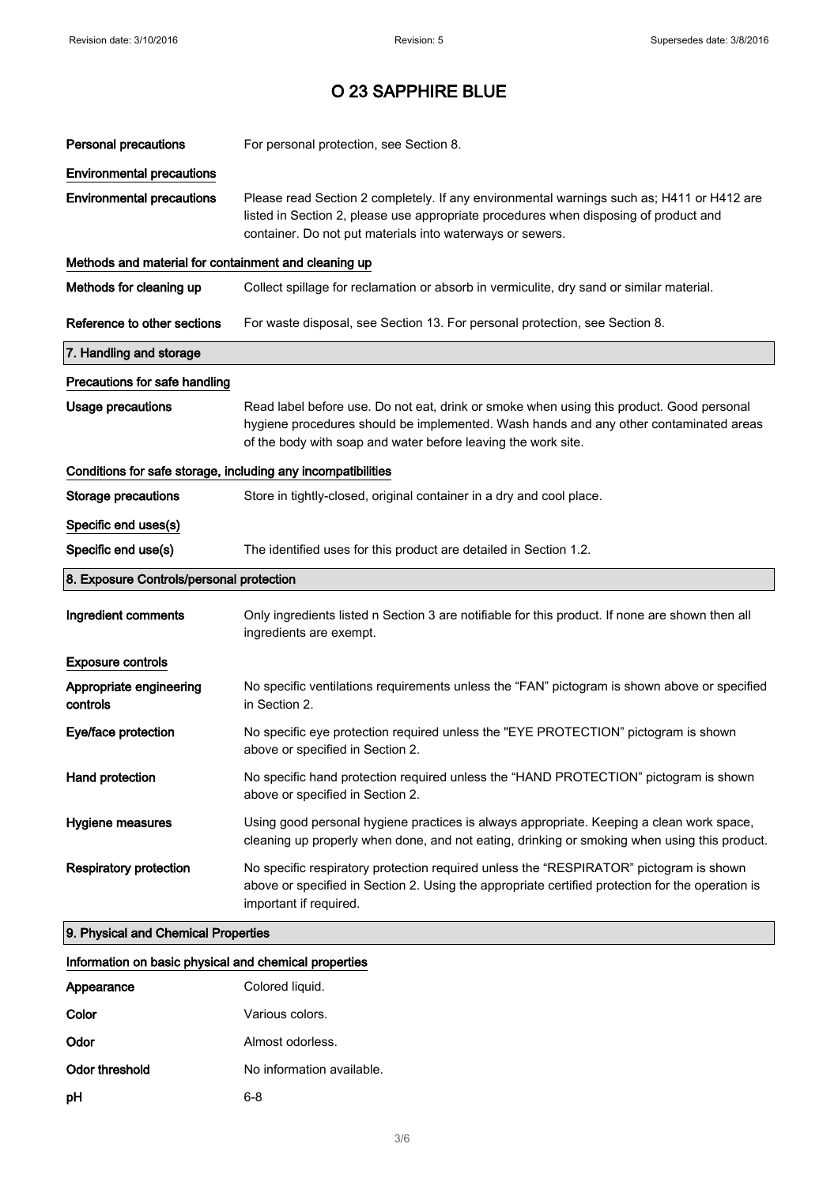| <b>Personal precautions</b>                                  | For personal protection, see Section 8.                                                                                                                                                                                                            |  |
|--------------------------------------------------------------|----------------------------------------------------------------------------------------------------------------------------------------------------------------------------------------------------------------------------------------------------|--|
| <b>Environmental precautions</b>                             |                                                                                                                                                                                                                                                    |  |
| <b>Environmental precautions</b>                             | Please read Section 2 completely. If any environmental warnings such as; H411 or H412 are<br>listed in Section 2, please use appropriate procedures when disposing of product and<br>container. Do not put materials into waterways or sewers.     |  |
| Methods and material for containment and cleaning up         |                                                                                                                                                                                                                                                    |  |
| Methods for cleaning up                                      | Collect spillage for reclamation or absorb in vermiculite, dry sand or similar material.                                                                                                                                                           |  |
| Reference to other sections                                  | For waste disposal, see Section 13. For personal protection, see Section 8.                                                                                                                                                                        |  |
| 7. Handling and storage                                      |                                                                                                                                                                                                                                                    |  |
| Precautions for safe handling                                |                                                                                                                                                                                                                                                    |  |
| <b>Usage precautions</b>                                     | Read label before use. Do not eat, drink or smoke when using this product. Good personal<br>hygiene procedures should be implemented. Wash hands and any other contaminated areas<br>of the body with soap and water before leaving the work site. |  |
| Conditions for safe storage, including any incompatibilities |                                                                                                                                                                                                                                                    |  |
| <b>Storage precautions</b>                                   | Store in tightly-closed, original container in a dry and cool place.                                                                                                                                                                               |  |
| Specific end uses(s)                                         |                                                                                                                                                                                                                                                    |  |
| Specific end use(s)                                          | The identified uses for this product are detailed in Section 1.2.                                                                                                                                                                                  |  |
| 8. Exposure Controls/personal protection                     |                                                                                                                                                                                                                                                    |  |
| Ingredient comments                                          | Only ingredients listed n Section 3 are notifiable for this product. If none are shown then all<br>ingredients are exempt.                                                                                                                         |  |
| <b>Exposure controls</b>                                     |                                                                                                                                                                                                                                                    |  |
| Appropriate engineering<br>controls                          | No specific ventilations requirements unless the "FAN" pictogram is shown above or specified<br>in Section 2.                                                                                                                                      |  |
| Eye/face protection                                          |                                                                                                                                                                                                                                                    |  |
|                                                              | No specific eye protection required unless the "EYE PROTECTION" pictogram is shown<br>above or specified in Section 2.                                                                                                                             |  |
| Hand protection                                              | No specific hand protection required unless the "HAND PROTECTION" pictogram is shown<br>above or specified in Section 2.                                                                                                                           |  |
| Hygiene measures                                             | Using good personal hygiene practices is always appropriate. Keeping a clean work space,<br>cleaning up properly when done, and not eating, drinking or smoking when using this product.                                                           |  |
| <b>Respiratory protection</b>                                | No specific respiratory protection required unless the "RESPIRATOR" pictogram is shown<br>above or specified in Section 2. Using the appropriate certified protection for the operation is<br>important if required.                               |  |

# Information on basic physical and chemical properties

| Appearance     | Colored liquid.           |
|----------------|---------------------------|
| Color          | Various colors.           |
| Odor           | Almost odorless.          |
| Odor threshold | No information available. |
| рH             | 6-8                       |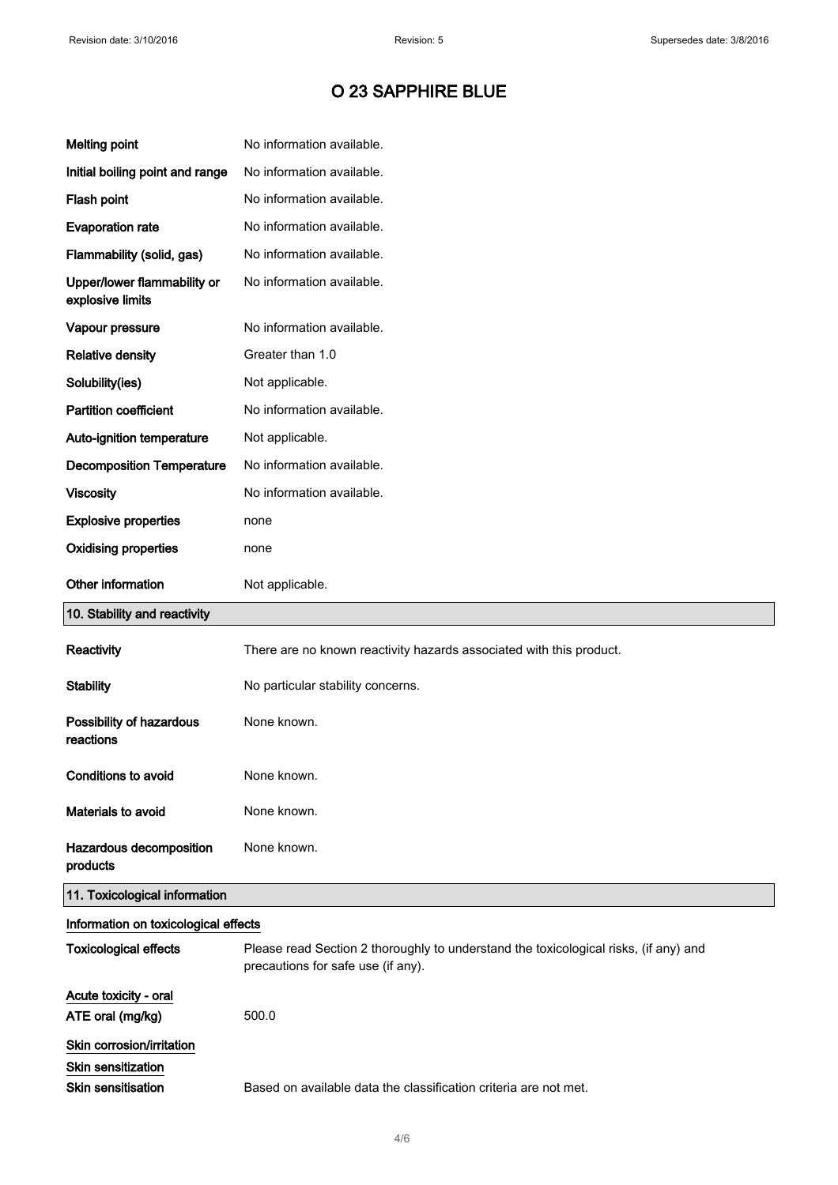| <b>Melting point</b>                                                                | No information available.                                                                                                  |
|-------------------------------------------------------------------------------------|----------------------------------------------------------------------------------------------------------------------------|
| Initial boiling point and range                                                     | No information available.                                                                                                  |
| Flash point                                                                         | No information available.                                                                                                  |
| <b>Evaporation rate</b>                                                             | No information available.                                                                                                  |
| Flammability (solid, gas)                                                           | No information available.                                                                                                  |
| Upper/lower flammability or<br>explosive limits                                     | No information available.                                                                                                  |
| Vapour pressure                                                                     | No information available.                                                                                                  |
| <b>Relative density</b>                                                             | Greater than 1.0                                                                                                           |
| Solubility(ies)                                                                     | Not applicable.                                                                                                            |
| <b>Partition coefficient</b>                                                        | No information available.                                                                                                  |
| Auto-ignition temperature                                                           | Not applicable.                                                                                                            |
| <b>Decomposition Temperature</b>                                                    | No information available.                                                                                                  |
| <b>Viscosity</b>                                                                    | No information available.                                                                                                  |
| <b>Explosive properties</b>                                                         | none                                                                                                                       |
| <b>Oxidising properties</b>                                                         | none                                                                                                                       |
| Other information                                                                   | Not applicable.                                                                                                            |
| 10. Stability and reactivity                                                        |                                                                                                                            |
| Reactivity                                                                          | There are no known reactivity hazards associated with this product.                                                        |
|                                                                                     | No particular stability concerns.                                                                                          |
| <b>Stability</b>                                                                    |                                                                                                                            |
| Possibility of hazardous<br>reactions                                               | None known.                                                                                                                |
| <b>Conditions to avoid</b>                                                          | None known.                                                                                                                |
| Materials to avoid                                                                  | None known.                                                                                                                |
| Hazardous decomposition<br>products                                                 | None known.                                                                                                                |
| 11. Toxicological information                                                       |                                                                                                                            |
| Information on toxicological effects                                                |                                                                                                                            |
| <b>Toxicological effects</b>                                                        | Please read Section 2 thoroughly to understand the toxicological risks, (if any) and<br>precautions for safe use (if any). |
| Acute toxicity - oral<br>ATE oral (mg/kg)                                           | 500.0                                                                                                                      |
| Skin corrosion/irritation<br><b>Skin sensitization</b><br><b>Skin sensitisation</b> | Based on available data the classification criteria are not met.                                                           |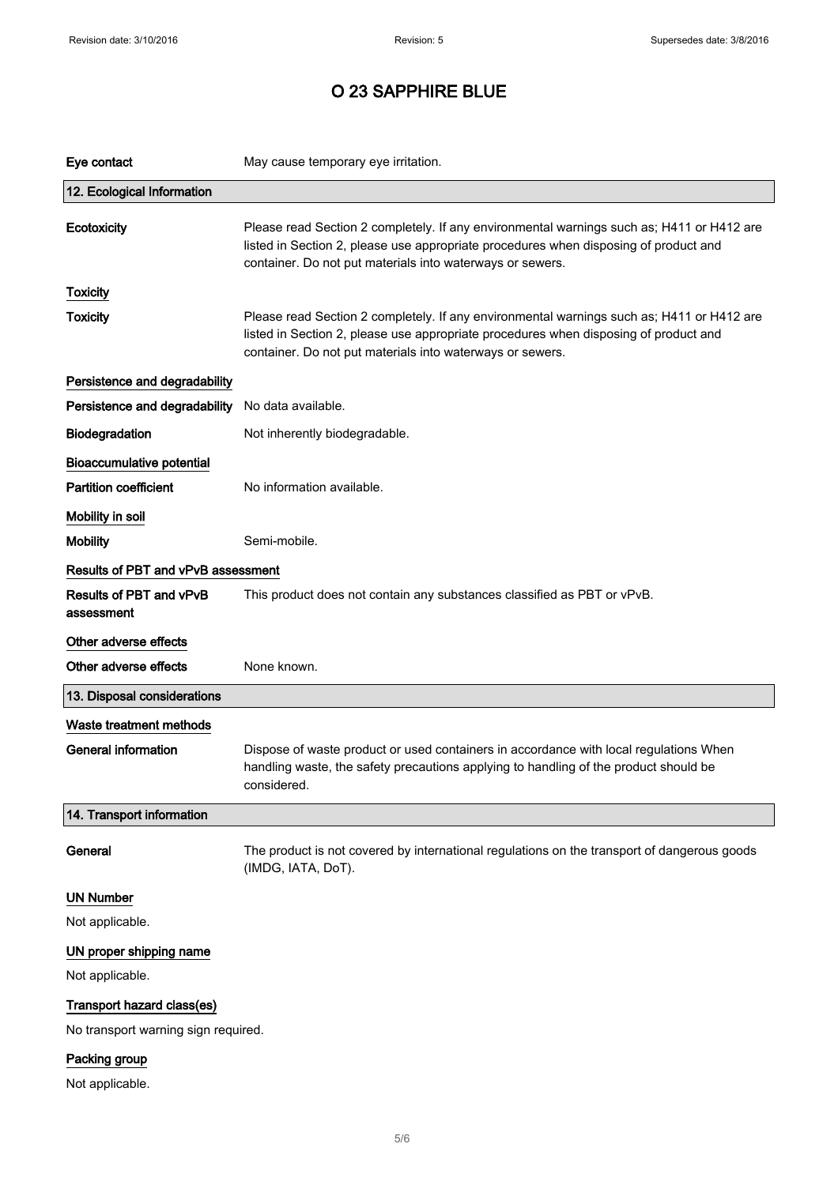$\bar{z}$ 

### O 23 SAPPHIRE BLUE

| Eye contact                           | May cause temporary eye irritation.                                                                                                                                                                                                            |
|---------------------------------------|------------------------------------------------------------------------------------------------------------------------------------------------------------------------------------------------------------------------------------------------|
| 12. Ecological Information            |                                                                                                                                                                                                                                                |
| Ecotoxicity                           | Please read Section 2 completely. If any environmental warnings such as; H411 or H412 are<br>listed in Section 2, please use appropriate procedures when disposing of product and<br>container. Do not put materials into waterways or sewers. |
| <b>Toxicity</b>                       |                                                                                                                                                                                                                                                |
| <b>Toxicity</b>                       | Please read Section 2 completely. If any environmental warnings such as; H411 or H412 are<br>listed in Section 2, please use appropriate procedures when disposing of product and<br>container. Do not put materials into waterways or sewers. |
| Persistence and degradability         |                                                                                                                                                                                                                                                |
| Persistence and degradability         | No data available.                                                                                                                                                                                                                             |
| Biodegradation                        | Not inherently biodegradable.                                                                                                                                                                                                                  |
| <b>Bioaccumulative potential</b>      |                                                                                                                                                                                                                                                |
| <b>Partition coefficient</b>          | No information available.                                                                                                                                                                                                                      |
| Mobility in soil                      |                                                                                                                                                                                                                                                |
| <b>Mobility</b>                       | Semi-mobile.                                                                                                                                                                                                                                   |
| Results of PBT and vPvB assessment    |                                                                                                                                                                                                                                                |
| Results of PBT and vPvB<br>assessment | This product does not contain any substances classified as PBT or vPvB.                                                                                                                                                                        |
| Other adverse effects                 |                                                                                                                                                                                                                                                |
| Other adverse effects                 | None known.                                                                                                                                                                                                                                    |
| 13. Disposal considerations           |                                                                                                                                                                                                                                                |
| Waste treatment methods               |                                                                                                                                                                                                                                                |
| <b>General information</b>            | Dispose of waste product or used containers in accordance with local regulations When<br>handling waste, the safety precautions applying to handling of the product should be<br>considered.                                                   |
| 14. Transport information             |                                                                                                                                                                                                                                                |
| General                               | The product is not covered by international regulations on the transport of dangerous goods<br>(IMDG, IATA, DoT).                                                                                                                              |
| <b>UN Number</b>                      |                                                                                                                                                                                                                                                |
| Not applicable.                       |                                                                                                                                                                                                                                                |
| UN proper shipping name               |                                                                                                                                                                                                                                                |
| Not applicable.                       |                                                                                                                                                                                                                                                |
| Transport hazard class(es)            |                                                                                                                                                                                                                                                |
| No transport warning sign required.   |                                                                                                                                                                                                                                                |
| Packing group                         |                                                                                                                                                                                                                                                |

Not applicable.